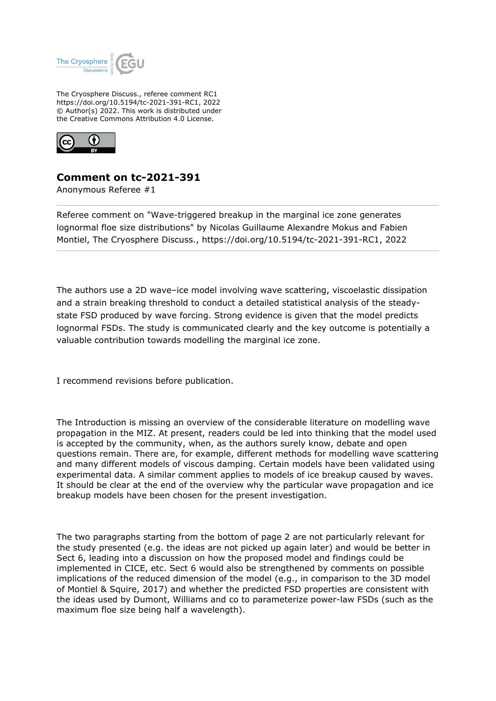

The Cryosphere Discuss., referee comment RC1 https://doi.org/10.5194/tc-2021-391-RC1, 2022 © Author(s) 2022. This work is distributed under the Creative Commons Attribution 4.0 License.



## **Comment on tc-2021-391**

Anonymous Referee #1

Referee comment on "Wave-triggered breakup in the marginal ice zone generates lognormal floe size distributions" by Nicolas Guillaume Alexandre Mokus and Fabien Montiel, The Cryosphere Discuss., https://doi.org/10.5194/tc-2021-391-RC1, 2022

The authors use a 2D wave–ice model involving wave scattering, viscoelastic dissipation and a strain breaking threshold to conduct a detailed statistical analysis of the steadystate FSD produced by wave forcing. Strong evidence is given that the model predicts lognormal FSDs. The study is communicated clearly and the key outcome is potentially a valuable contribution towards modelling the marginal ice zone.

I recommend revisions before publication.

The Introduction is missing an overview of the considerable literature on modelling wave propagation in the MIZ. At present, readers could be led into thinking that the model used is accepted by the community, when, as the authors surely know, debate and open questions remain. There are, for example, different methods for modelling wave scattering and many different models of viscous damping. Certain models have been validated using experimental data. A similar comment applies to models of ice breakup caused by waves. It should be clear at the end of the overview why the particular wave propagation and ice breakup models have been chosen for the present investigation.

The two paragraphs starting from the bottom of page 2 are not particularly relevant for the study presented (e.g. the ideas are not picked up again later) and would be better in Sect 6, leading into a discussion on how the proposed model and findings could be implemented in CICE, etc. Sect 6 would also be strengthened by comments on possible implications of the reduced dimension of the model (e.g., in comparison to the 3D model of Montiel & Squire, 2017) and whether the predicted FSD properties are consistent with the ideas used by Dumont, Williams and co to parameterize power-law FSDs (such as the maximum floe size being half a wavelength).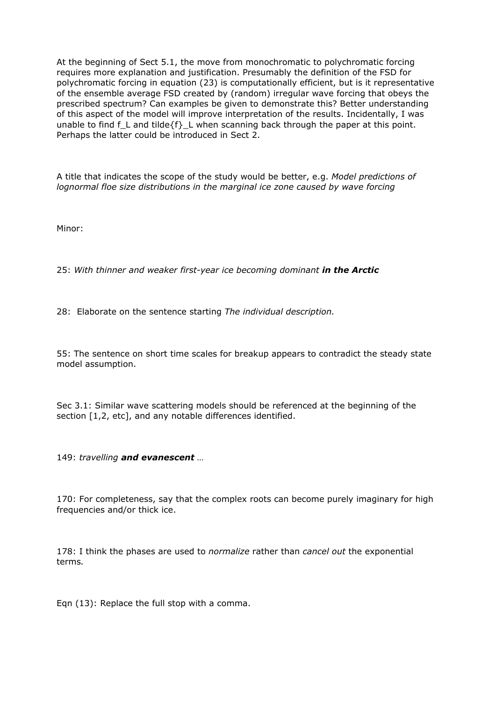At the beginning of Sect 5.1, the move from monochromatic to polychromatic forcing requires more explanation and justification. Presumably the definition of the FSD for polychromatic forcing in equation (23) is computationally efficient, but is it representative of the ensemble average FSD created by (random) irregular wave forcing that obeys the prescribed spectrum? Can examples be given to demonstrate this? Better understanding of this aspect of the model will improve interpretation of the results. Incidentally, I was unable to find f L and tilde ${f}$ . L when scanning back through the paper at this point. Perhaps the latter could be introduced in Sect 2.

A title that indicates the scope of the study would be better, e.g. *Model predictions of lognormal floe size distributions in the marginal ice zone caused by wave forcing*

Minor:

25: *With thinner and weaker first-year ice becoming dominant in the Arctic*

28: Elaborate on the sentence starting *The individual description.*

55: The sentence on short time scales for breakup appears to contradict the steady state model assumption.

Sec 3.1: Similar wave scattering models should be referenced at the beginning of the section [1,2, etc], and any notable differences identified.

149: *travelling and evanescent …*

170: For completeness, say that the complex roots can become purely imaginary for high frequencies and/or thick ice.

178: I think the phases are used to *normalize* rather than *cancel out* the exponential terms*.*

Eqn (13): Replace the full stop with a comma.